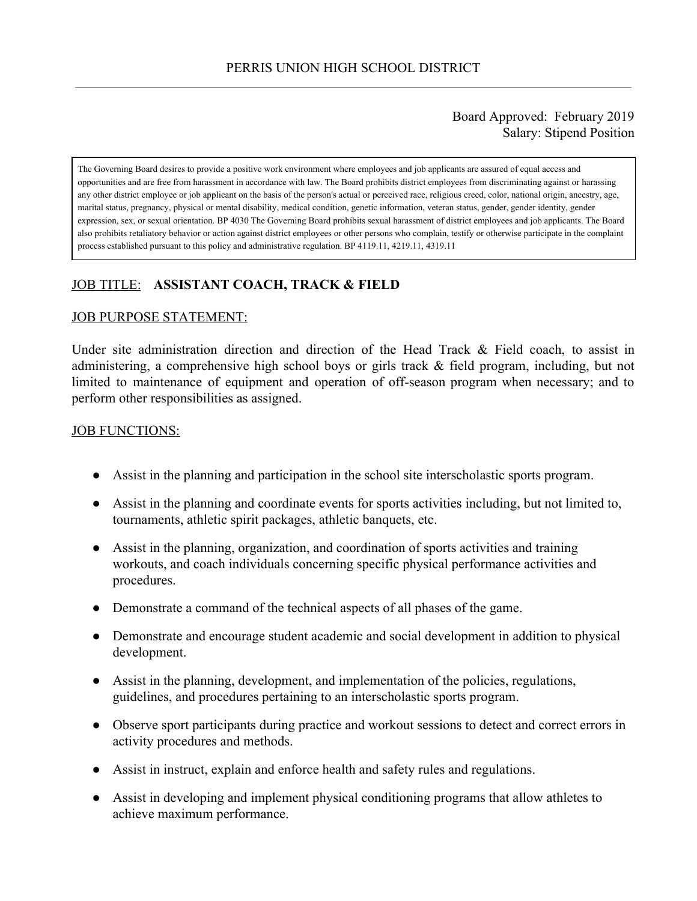#### Board Approved: February 2019 Salary: Stipend Position

The Governing Board desires to provide a positive work environment where employees and job applicants are assured of equal access and opportunities and are free from harassment in accordance with law. The Board prohibits district employees from discriminating against or harassing any other district employee or job applicant on the basis of the person's actual or perceived race, religious creed, color, national origin, ancestry, age, marital status, pregnancy, physical or mental disability, medical condition, genetic information, veteran status, gender, gender identity, gender expression, sex, or sexual orientation. BP 4030 The Governing Board prohibits sexual harassment of district employees and job applicants. The Board also prohibits retaliatory behavior or action against district employees or other persons who complain, testify or otherwise participate in the complaint process established pursuant to this policy and administrative regulation. BP 4119.11, 4219.11, 4319.11

# JOB TITLE: **ASSISTANT COACH, TRACK & FIELD**

#### JOB PURPOSE STATEMENT:

Under site administration direction and direction of the Head Track & Field coach, to assist in administering, a comprehensive high school boys or girls track & field program, including, but not limited to maintenance of equipment and operation of off-season program when necessary; and to perform other responsibilities as assigned.

#### **JOB FUNCTIONS:**

- Assist in the planning and participation in the school site interscholastic sports program.
- Assist in the planning and coordinate events for sports activities including, but not limited to, tournaments, athletic spirit packages, athletic banquets, etc.
- Assist in the planning, organization, and coordination of sports activities and training workouts, and coach individuals concerning specific physical performance activities and procedures.
- Demonstrate a command of the technical aspects of all phases of the game.
- Demonstrate and encourage student academic and social development in addition to physical development.
- Assist in the planning, development, and implementation of the policies, regulations, guidelines, and procedures pertaining to an interscholastic sports program.
- Observe sport participants during practice and workout sessions to detect and correct errors in activity procedures and methods.
- Assist in instruct, explain and enforce health and safety rules and regulations.
- Assist in developing and implement physical conditioning programs that allow athletes to achieve maximum performance.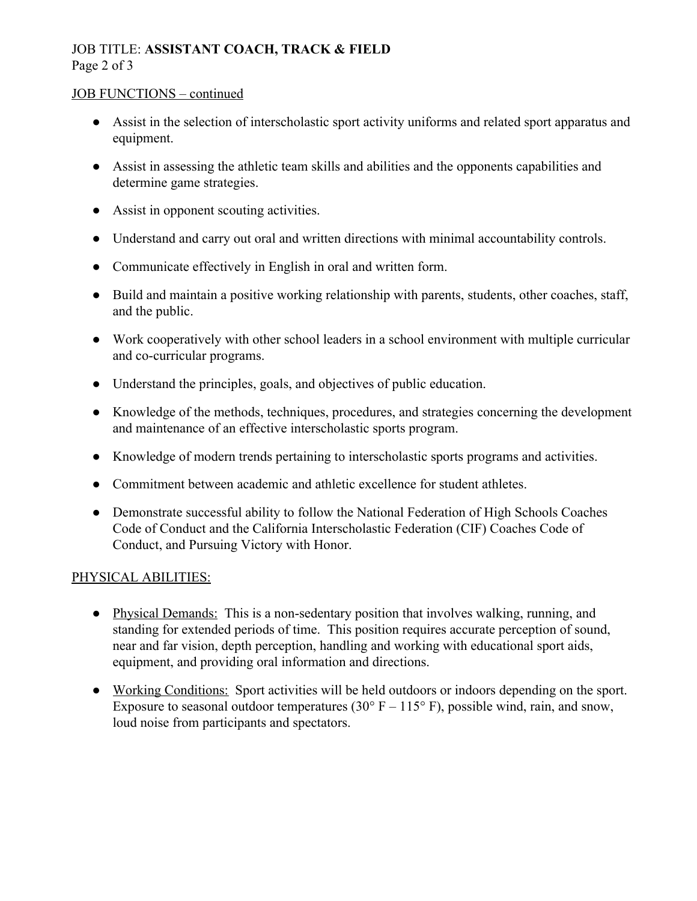# JOB TITLE: **ASSISTANT COACH, TRACK & FIELD** Page 2 of 3

#### JOB FUNCTIONS – continued

- Assist in the selection of interscholastic sport activity uniforms and related sport apparatus and equipment.
- Assist in assessing the athletic team skills and abilities and the opponents capabilities and determine game strategies.
- Assist in opponent scouting activities.
- Understand and carry out oral and written directions with minimal accountability controls.
- Communicate effectively in English in oral and written form.
- Build and maintain a positive working relationship with parents, students, other coaches, staff, and the public.
- Work cooperatively with other school leaders in a school environment with multiple curricular and co-curricular programs.
- Understand the principles, goals, and objectives of public education.
- Knowledge of the methods, techniques, procedures, and strategies concerning the development and maintenance of an effective interscholastic sports program.
- Knowledge of modern trends pertaining to interscholastic sports programs and activities.
- Commitment between academic and athletic excellence for student athletes.
- Demonstrate successful ability to follow the National Federation of High Schools Coaches Code of Conduct and the California Interscholastic Federation (CIF) Coaches Code of Conduct, and Pursuing Victory with Honor.

## PHYSICAL ABILITIES:

- Physical Demands: This is a non-sedentary position that involves walking, running, and standing for extended periods of time. This position requires accurate perception of sound, near and far vision, depth perception, handling and working with educational sport aids, equipment, and providing oral information and directions.
- Working Conditions: Sport activities will be held outdoors or indoors depending on the sport. Exposure to seasonal outdoor temperatures (30 $\degree$  F – 115 $\degree$  F), possible wind, rain, and snow, loud noise from participants and spectators.